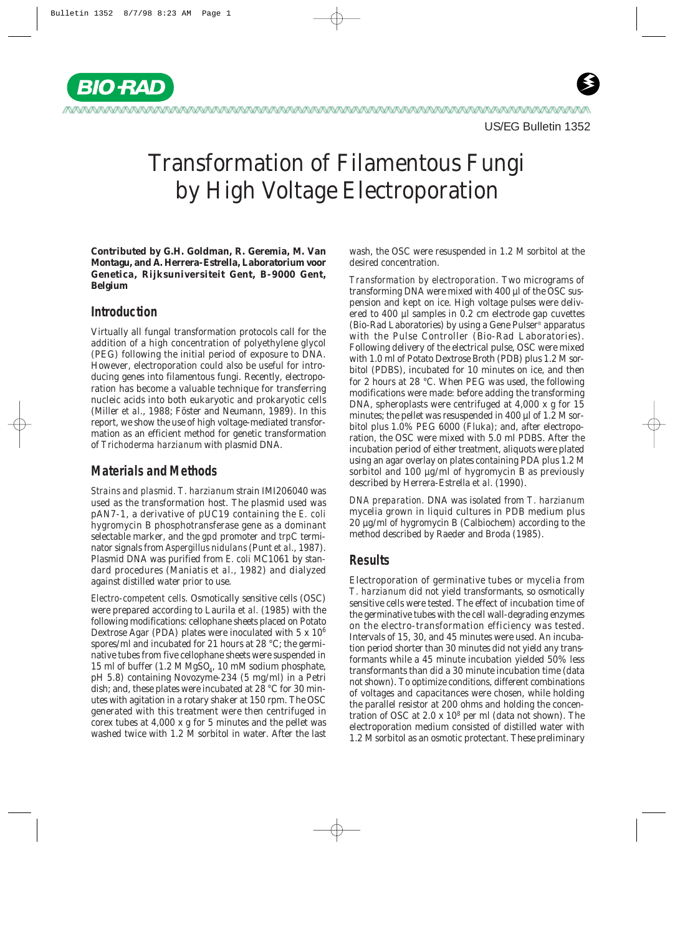

**Contributed by G.H. Goldman, R. Geremia, M. Van Montagu, and A. Herrera-Estrella, Laboratorium voor Genetica, Rijksuniversiteit Gent, B-9000 Gent, Belgium**

## **Introduction**

**BIO RAI** 

Virtually all fungal transformation protocols call for the addition of a high concentration of polyethylene glycol (PEG) following the initial period of exposure to DNA. However, electroporation could also be useful for introducing genes into filamentous fungi. Recently, electroporation has become a valuable technique for transferring nucleic acids into both eukaryotic and prokaryotic cells (Miller *et al.*, 1988; Föster and Neumann, 1989). In this report, we show the use of high voltage-mediated transformation as an efficient method for genetic transformation of *Trichoderma harzianum* with plasmid DNA.

# **Materials and Methods**

*Strains and plasmid. T. harzianum* strain IMI206040 was used as the transformation host. The plasmid used was pAN7-1, a derivative of pUC19 containing the *E. coli* hygromycin B phosphotransferase gene as a dominant selectable marker, and the *gpd* promoter and *trp*C terminator signals from *Aspergillus nidulans*(Punt *et al.*, 1987). Plasmid DNA was purified from *E. coli* MC1061 by standard procedures (Maniatis *et al.*, 1982) and dialyzed against distilled water prior to use.

*Electro-competent cells*. Osmotically sensitive cells (OSC) were prepared according to Laurila *et al.* (1985) with the following modifications: cellophane sheets placed on Potato Dextrose Agar (PDA) plates were inoculated with 5 x 106 spores/ml and incubated for 21 hours at 28 °C; the germinative tubes from five cellophane sheets were suspended in 15 ml of buffer  $(1.2 M MgSO<sub>4</sub>, 10 mM sodium phosphate,$ pH 5.8) containing Novozyme-234 (5 mg/ml) in a Petri dish; and, these plates were incubated at 28 °C for 30 minutes with agitation in a rotary shaker at 150 rpm. The OSC generated with this treatment were then centrifuged in corex tubes at 4,000 x g for 5 minutes and the pellet was washed twice with 1.2 M sorbitol in water. After the last wash, the OSC were resuspended in 1.2 M sorbitol at the desired concentration.

*Transformation by electroporation.* Two micrograms of transforming DNA were mixed with 400 µl of the OSC suspension and kept on ice. High voltage pulses were delivered to 400 µl samples in 0.2 cm electrode gap cuvettes (Bio-Rad Laboratories) by using a Gene Pulser® apparatus with the Pulse Controller (Bio-Rad Laboratories). Following delivery of the electrical pulse, OSC were mixed with 1.0 ml of Potato Dextrose Broth (PDB) plus 1.2 M sorbitol (PDBS), incubated for 10 minutes on ice, and then for 2 hours at 28 °C. When PEG was used, the following modifications were made: before adding the transforming DNA, spheroplasts were centrifuged at 4,000 x g for 15 minutes; the pellet was resuspended in 400 µl of 1.2 M sorbitol plus 1.0% PEG 6000 (Fluka); and, after electroporation, the OSC were mixed with 5.0 ml PDBS. After the incubation period of either treatment, aliquots were plated using an agar overlay on plates containing PDA plus 1.2 M sorbitol and 100 µg/ml of hygromycin B as previously described by Herrera-Estrella *et al.* (1990).

*DNA preparation.* DNA was isolated from *T. harzianum* mycelia grown in liquid cultures in PDB medium plus 20 µg/ml of hygromycin B (Calbiochem) according to the method described by Raeder and Broda (1985).

# **Results**

Electroporation of germinative tubes or mycelia from *T. harzianum* did not yield transformants, so osmotically sensitive cells were tested. The effect of incubation time of the germinative tubes with the cell wall-degrading enzymes on the electro-transformation efficiency was tested. Intervals of 15, 30, and 45 minutes were used. An incubation period shorter than 30 minutes did not yield any transformants while a 45 minute incubation yielded 50% less transformants than did a 30 minute incubation time (data not shown). To optimize conditions, different combinations of voltages and capacitances were chosen, while holding the parallel resistor at 200 ohms and holding the concentration of OSC at  $2.0 \times 10^8$  per ml (data not shown). The electroporation medium consisted of distilled water with 1.2 M sorbitol as an osmotic protectant. These preliminary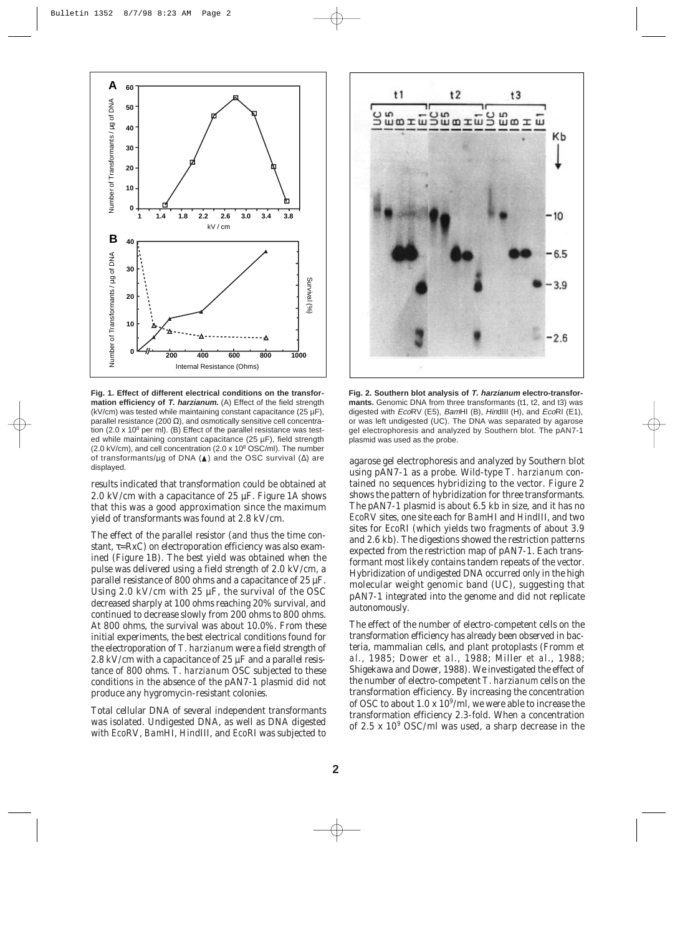

**Fig. 1. Effect of different electrical conditions on the transformation efficiency of** *T. harzianum.* (A) Effect of the field strength (kV/cm) was tested while maintaining constant capacitance (25 µF), parallel resistance (200  $\Omega$ ), and osmotically sensitive cell concentration (2.0 x 10 $8$  per ml). (B) Effect of the parallel resistance was tested while maintaining constant capacitance (25 µF), field strength (2.0 kV/cm), and cell concentration (2.0 x 108 OSC/ml). The number of transformants/µg of DNA (▲) and the OSC survival (∆) are displayed.

results indicated that transformation could be obtained at 2.0 kV/cm with a capacitance of 25  $\mu$ F. Figure 1A shows that this was a good approximation since the maximum yield of transformants was found at 2.8 kV/cm.

The effect of the parallel resistor (and thus the time constant,  $\tau = RxC$ ) on electroporation efficiency was also examined (Figure 1B). The best yield was obtained when the pulse was delivered using a field strength of 2.0 kV/cm, a parallel resistance of 800 ohms and a capacitance of 25 µF. Using 2.0 kV/cm with 25  $\mu$ F, the survival of the OSC decreased sharply at 100 ohms reaching 20% survival, and continued to decrease slowly from 200 ohms to 800 ohms. At 800 ohms, the survival was about 10.0%. From these initial experiments, the best electrical conditions found for the electroporation of *T. harzianum* were a field strength of 2.8 kV/cm with a capacitance of 25  $\mu$ F and a parallel resistance of 800 ohms. *T. harzianum* OSC subjected to these conditions in the absence of the pAN7-1 plasmid did not produce any hygromycin-resistant colonies.

Total cellular DNA of several independent transformants was isolated. Undigested DNA, as well as DNA digested with *Eco*RV, *Bam*HI, *Hin*dIII, and *Eco*RI was subjected to



**Fig. 2. Southern blot analysis of T. harzianum electro-transformants.** Genomic DNA from three transformants (t1, t2, and t3) was digested with EcoRV (E5), BamHI (B), HindIII (H), and EcoRI (E1), or was left undigested (UC). The DNA was separated by agarose gel electrophoresis and analyzed by Southern blot. The pAN7-1 plasmid was used as the probe.

agarose gel electrophoresis and analyzed by Southern blot using pAN7-1 as a probe. Wild-type *T. harzianum* contained no sequences hybridizing to the vector. Figure 2 shows the pattern of hybridization for three transformants. The pAN7-1 plasmid is about 6.5 kb in size, and it has no *Eco*RV sites, one site each for *Bam*HI and *Hin*dIII, and two sites for *Eco*RI (which yields two fragments of about 3.9 and 2.6 kb). The digestions showed the restriction patterns expected from the restriction map of pAN7-1. Each transformant most likely contains tandem repeats of the vector. Hybridization of undigested DNA occurred only in the high molecular weight genomic band (UC), suggesting that pAN7-1 integrated into the genome and did not replicate autonomously.

The effect of the number of electro-competent cells on the transformation efficiency has already been observed in bacteria, mammalian cells, and plant protoplasts (Fromm *et al.*, 1985; Dower *et al.*, 1988; Miller *et al.*, 1988; Shigekawa and Dower, 1988). We investigated the effect of the number of electro-competent *T. harzianum* cells on the transformation efficiency. By increasing the concentration of OSC to about  $1.0 \times 10^9$ /ml, we were able to increase the transformation efficiency 2.3-fold. When a concentration of 2.5 x  $10^9$  OSC/ml was used, a sharp decrease in the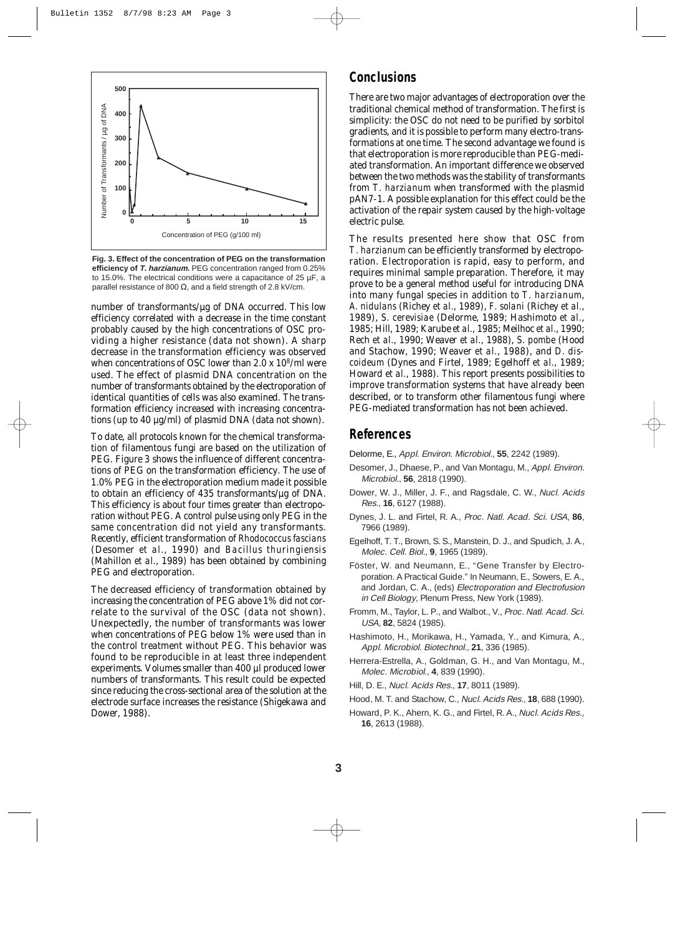

**Fig. 3. Effect of the concentration of PEG on the transformation efficiency of T. harzianum.** PEG concentration ranged from 0.25% to 15.0%. The electrical conditions were a capacitance of 25 µF, a

number of transformants/µg of DNA occurred. This low efficiency correlated with a decrease in the time constant probably caused by the high concentrations of OSC providing a higher resistance (data not shown). A sharp decrease in the transformation efficiency was observed when concentrations of OSC lower than  $2.0 \times 10^8$ /ml were used. The effect of plasmid DNA concentration on the number of transformants obtained by the electroporation of identical quantities of cells was also examined. The transformation efficiency increased with increasing concentrations (up to 40 µg/ml) of plasmid DNA (data not shown).

To date, all protocols known for the chemical transformation of filamentous fungi are based on the utilization of PEG. Figure 3 shows the influence of different concentrations of PEG on the transformation efficiency. The use of 1.0% PEG in the electroporation medium made it possible to obtain an efficiency of 435 transformants/ $\mu$ g of DNA. This efficiency is about four times greater than electroporation without PEG. A control pulse using only PEG in the same concentration did not yield any transformants. Recently, efficient transformation of *Rhodococcus fascians* (Desomer *et al.*, 1990) and *Bacillus thuringiensis* (Mahillon *et al.*, 1989) has been obtained by combining PEG and electroporation.

The decreased efficiency of transformation obtained by increasing the concentration of PEG above 1% did not correlate to the survival of the OSC (data not shown). Unexpectedly, the number of transformants was lower when concentrations of PEG below 1% were used than in the control treatment without PEG. This behavior was found to be reproducible in at least three independent experiments. Volumes smaller than 400 µl produced lower numbers of transformants. This result could be expected since reducing the cross-sectional area of the solution at the electrode surface increases the resistance (Shigekawa and Dower, 1988).

### **Conclusions**

There are two major advantages of electroporation over the traditional chemical method of transformation. The first is simplicity: the OSC do not need to be purified by sorbitol gradients, and it is possible to perform many electro-transformations at one time. The second advantage we found is that electroporation is more reproducible than PEG-mediated transformation. An important difference we observed between the two methods was the stability of transformants from *T. harzianum* when transformed with the plasmid pAN7-1. A possible explanation for this effect could be the activation of the repair system caused by the high-voltage electric pulse.

The results presented here show that OSC from *T. harzianum* can be efficiently transformed by electroporation. Electroporation is rapid, easy to perform, and requires minimal sample preparation. Therefore, it may prove to be a general method useful for introducing DNA into many fungal species in addition to *T. harzianum*, *A. nidulans* (Richey *et al.*, 1989), *F. solani* (Richey *et al.*, 1989), *S. cerevisiae* (Delorme, 1989; Hashimoto *et al.*, 1985; Hill, 1989; Karube *et al.*, 1985; Meilhoc *et al.*, 1990; Rech *et al.*, 1990; Weaver *et al.*, 1988), *S. pombe* (Hood and Stachow, 1990; Weaver *et al.*, 1988), and *D. discoideum* (Dynes and Firtel, 1989; Egelhoff *et al.*, 1989; Howard *et al.*, 1988). This report presents possibilities to improve transformation systems that have already been described, or to transform other filamentous fungi where PEG-mediated transformation has not been achieved.

## **References**

- Delorme, E., Appl. Environ. Microbiol., **55**, 2242 (1989).
- Desomer, J., Dhaese, P., and Van Montagu, M., Appl. Environ. Microbiol., **56**, 2818 (1990).
- Dower, W. J., Miller, J. F., and Ragsdale, C. W., Nucl. Acids Res., **16**, 6127 (1988).
- Dynes, J. L. and Firtel, R. A., Proc. Natl. Acad. Sci. USA, **86**, 7966 (1989).
- Egelhoff, T. T., Brown, S. S., Manstein, D. J., and Spudich, J. A., Molec. Cell. Biol., **9**, 1965 (1989).
- Föster, W. and Neumann, E., "Gene Transfer by Electroporation. A Practical Guide." In Neumann, E., Sowers, E. A., and Jordan, C. A., (eds) Electroporation and Electrofusion in Cell Biology, Plenum Press, New York (1989).
- Fromm, M., Taylor, L. P., and Walbot., V., Proc. Natl. Acad. Sci. USA, **82**, 5824 (1985).
- Hashimoto, H., Morikawa, H., Yamada, Y., and Kimura, A., Appl. Microbiol. Biotechnol., **21**, 336 (1985).
- Herrera-Estrella, A., Goldman, G. H., and Van Montagu, M., Molec. Microbiol., **4**, 839 (1990).
- Hill, D. E., Nucl. Acids Res., **17**, 8011 (1989).
- Hood, M. T. and Stachow, C., Nucl. Acids Res., **18**, 688 (1990).
- Howard, P. K., Ahern, K. G., and Firtel, R. A., Nucl. Acids Res., **16**, 2613 (1988).